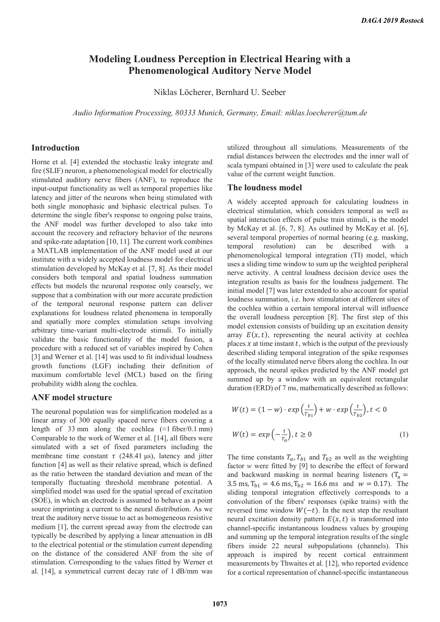# **Modeling Loudness Perception in Electrical Hearing with a Phenomenological Auditory Nerve Model**

Niklas Löcherer, Bernhard U. Seeber

*Audio Information Processing, 80333 Munich, Germany, Email: niklas.loecherer@tum.de* 

## **Introduction**

Horne et al. [4] extended the stochastic leaky integrate and fire (SLIF) neuron, a phenomenological model for electrically stimulated auditory nerve fibers (ANF), to reproduce the input-output functionality as well as temporal properties like latency and jitter of the neurons when being stimulated with both single monophasic and biphasic electrical pulses. To determine the single fiber's response to ongoing pulse trains, the ANF model was further developed to also take into account the recovery and refractory behavior of the neurons and spike-rate adaptation [10, 11]. The current work combines a MATLAB implementation of the ANF model used at our institute with a widely accepted loudness model for electrical stimulation developed by McKay et al. [7, 8]. As their model considers both temporal and spatial loudness summation effects but models the neuronal response only coarsely, we suppose that a combination with our more accurate prediction of the temporal neuronal response pattern can deliver explanations for loudness related phenomena in temporally and spatially more complex stimulation setups involving arbitrary time-variant multi-electrode stimuli. To initially validate the basic functionality of the model fusion, a procedure with a reduced set of variables inspired by Cohen [3] and Werner et al. [14] was used to fit individual loudness growth functions (LGF) including their definition of maximum comfortable level (MCL) based on the firing probability width along the cochlea.

## **ANF model structure**

The neuronal population was for simplification modeled as a linear array of 300 equally spaced nerve fibers covering a length of 33 mm along the cochlea ( $\approx$ 1 fiber/0.1 mm) Comparable to the work of Werner et al. [14], all fibers were simulated with a set of fixed parameters including the membrane time constant  $\tau$  (248.41 μs), latency and jitter function [4] as well as their relative spread, which is defined as the ratio between the standard deviation and mean of the temporally fluctuating threshold membrane potential. A simplified model was used for the spatial spread of excitation (SOE), in which an electrode is assumed to behave as a point source imprinting a current to the neural distribution. As we treat the auditory nerve tissue to act as homogeneous resistive medium [1], the current spread away from the electrode can typically be described by applying a linear attenuation in dB to the electrical potential or the stimulation current depending on the distance of the considered ANF from the site of stimulation. Corresponding to the values fitted by Werner et al. [14], a symmetrical current decay rate of 1 dB/mm was

utilized throughout all simulations. Measurements of the radial distances between the electrodes and the inner wall of scala tympani obtained in [3] were used to calculate the peak value of the current weight function.

#### **The loudness model**

A widely accepted approach for calculating loudness in electrical stimulation, which considers temporal as well as spatial interaction effects of pulse train stimuli, is the model by McKay et al. [6, 7, 8]. As outlined by McKay et al. [6], several temporal properties of normal hearing (e.g. masking, temporal resolution) can be described with a phenomenological temporal integration (TI) model, which uses a sliding time window to sum up the weighted peripheral nerve activity. A central loudness decision device uses the integration results as basis for the loudness judgement. The initial model [7] was later extended to also account for spatial loudness summation, i.e. how stimulation at different sites of the cochlea within a certain temporal interval will influence the overall loudness perception [8]. The first step of this model extension consists of building up an excitation density array  $E(x, t)$ , representing the neural activity at cochlea places  $x$  at time instant  $t$ , which is the output of the previously described sliding temporal integration of the spike responses of the locally stimulated nerve fibers along the cochlea. In our approach, the neural spikes predicted by the ANF model get summed up by a window with an equivalent rectangular duration (ERD) of 7 ms, mathematically described as follows:

$$
W(t) = (1 - w) \cdot exp\left(\frac{t}{T_{b1}}\right) + w \cdot exp\left(\frac{t}{T_{b2}}\right), t < 0
$$
  

$$
W(t) = exp\left(-\frac{t}{T_a}\right), t \ge 0
$$
 (1)

The time constants  $T_a$ ,  $T_{b1}$  and  $T_{b2}$  as well as the weighting factor *w* were fitted by [9] to describe the effect of forward and backward masking in normal hearing listeners ( $T_a =$ 3.5 ms,  $T_{b1} = 4.6$  ms,  $T_{b2} = 16.6$  ms and  $w = 0.17$ ). The sliding temporal integration effectively corresponds to a convolution of the fibers' responses (spike trains) with the reversed time window  $W(-t)$ . In the next step the resultant neural excitation density pattern  $E(x, t)$  is transformed into channel-specific instantaneous loudness values by grouping and summing up the temporal integration results of the single fibers inside 22 neural subpopulations (channels). This approach is inspired by recent cortical entrainment measurements by Thwaites et al. [12], who reported evidence for a cortical representation of channel-specific instantaneous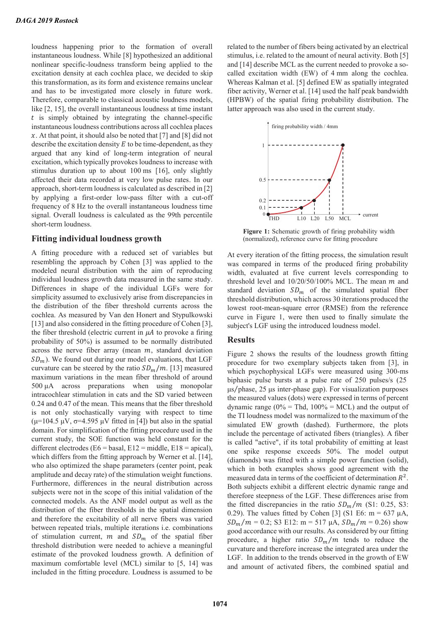loudness happening prior to the formation of overall instantaneous loudness. While [8] hypothesized an additional nonlinear specific-loudness transform being applied to the excitation density at each cochlea place, we decided to skip this transformation, as its form and existence remains unclear and has to be investigated more closely in future work. Therefore, comparable to classical acoustic loudness models, like [2, 15], the overall instantaneous loudness at time instant  $t$  is simply obtained by integrating the channel-specific instantaneous loudness contributions across all cochlea places x. At that point, it should also be noted that [7] and [8] did not describe the excitation density  $E$  to be time-dependent, as they argued that any kind of long-term integration of neural excitation, which typically provokes loudness to increase with stimulus duration up to about 100 ms [16], only slightly affected their data recorded at very low pulse rates. In our approach, short-term loudness is calculated as described in [2] by applying a first-order low-pass filter with a cut-off frequency of 8 Hz to the overall instantaneous loudness time signal. Overall loudness is calculated as the 99th percentile short-term loudness.

#### **Fitting individual loudness growth**

A fitting procedure with a reduced set of variables but resembling the approach by Cohen [3] was applied to the modeled neural distribution with the aim of reproducing individual loudness growth data measured in the same study. Differences in shape of the individual LGFs were for simplicity assumed to exclusively arise from discrepancies in the distribution of the fiber threshold currents across the cochlea. As measured by Van den Honert and Stypulkowski [13] and also considered in the fitting procedure of Cohen [3], the fiber threshold (electric current in  $\mu A$  to provoke a firing probability of 50%) is assumed to be normally distributed across the nerve fiber array (mean  $m$ , standard deviation  $SD_m$ ). We found out during our model evaluations, that LGF curvature can be steered by the ratio  $SD_m/m$ . [13] measured maximum variations in the mean fiber threshold of around 500 μA across preparations when using monopolar intracochlear stimulation in cats and the SD varied between 0.24 and 0.47 of the mean. This means that the fiber threshold is not only stochastically varying with respect to time ( $\mu$ =104.5  $\mu$ V,  $\sigma$ =4.595  $\mu$ V fitted in [4]) but also in the spatial domain. For simplification of the fitting procedure used in the current study, the SOE function was held constant for the different electrodes (E6 = basal, E12 = middle, E18 = apical), which differs from the fitting approach by Werner et al. [14], who also optimized the shape parameters (center point, peak amplitude and decay rate) of the stimulation weight functions. Furthermore, differences in the neural distribution across subjects were not in the scope of this initial validation of the connected models. As the ANF model output as well as the distribution of the fiber thresholds in the spatial dimension and therefore the excitability of all nerve fibers was varied between repeated trials, multiple iterations i.e. combinations of stimulation current,  $m$  and  $SD_m$  of the spatial fiber threshold distribution were needed to achieve a meaningful estimate of the provoked loudness growth. A definition of maximum comfortable level (MCL) similar to [5, 14] was included in the fitting procedure. Loudness is assumed to be

related to the number of fibers being activated by an electrical stimulus, i.e. related to the amount of neural activity. Both [5] and [14] describe MCL as the current needed to provoke a socalled excitation width (EW) of 4 mm along the cochlea. Whereas Kalman et al. [5] defined EW as spatially integrated fiber activity, Werner et al. [14] used the half peak bandwidth (HPBW) of the spatial firing probability distribution. The latter approach was also used in the current study.



**Figure 1:** Schematic growth of firing probability width (normalized), reference curve for fitting procedure

At every iteration of the fitting process, the simulation result was compared in terms of the produced firing probability width, evaluated at five current levels corresponding to threshold level and  $10/20/50/100%$  MCL. The mean  $m$  and standard deviation  $SD_m$  of the simulated spatial fiber threshold distribution, which across 30 iterations produced the lowest root-mean-square error (RMSE) from the reference curve in Figure 1, were then used to finally simulate the subject's LGF using the introduced loudness model.

#### **Results**

Figure 2 shows the results of the loudness growth fitting procedure for two exemplary subjects taken from [3], in which psychophysical LGFs were measured using 300-ms biphasic pulse bursts at a pulse rate of 250 pulses/s (25  $\mu$ s/phase, 25  $\mu$ s inter-phase gap). For visualization purposes the measured values (dots) were expressed in terms of percent dynamic range ( $0\%$  = Thd,  $100\%$  = MCL) and the output of the TI loudness model was normalized to the maximum of the simulated EW growth (dashed). Furthermore, the plots include the percentage of activated fibers (triangles). A fiber is called "active", if its total probability of emitting at least one spike response exceeds 50%. The model output (diamonds) was fitted with a simple power function (solid), which in both examples shows good agreement with the measured data in terms of the coefficient of determination  $R^2$ . Both subjects exhibit a different electric dynamic range and therefore steepness of the LGF. These differences arise from the fitted discrepancies in the ratio  $SD_m/m$  (S1: 0.25, S3: 0.29). The values fitted by Cohen [3] (S1 E6: m = 637  $\mu$ A,  $SD_m/m = 0.2$ ; S3 E12: m = 517 µA,  $SD_m/m = 0.26$ ) show good accordance with our results. As considered by our fitting procedure, a higher ratio  $SD_m/m$  tends to reduce the curvature and therefore increase the integrated area under the LGF. In addition to the trends observed in the growth of EW and amount of activated fibers, the combined spatial and